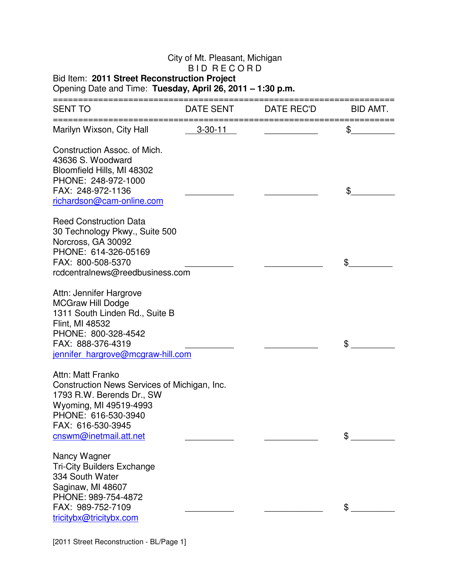## City of Mt. Pleasant, Michigan

## B I D R E C O R D

## Bid Item: **2011 Street Reconstruction Project**

## Opening Date and Time: **Tuesday, April 26, 2011 – 1:30 p.m.**

| <b>SENT TO</b>                                                                                                                                                                                 | DATE SENT     | DATE REC'D | BID AMT. |
|------------------------------------------------------------------------------------------------------------------------------------------------------------------------------------------------|---------------|------------|----------|
| Marilyn Wixson, City Hall                                                                                                                                                                      | $3 - 30 - 11$ |            | \$       |
| Construction Assoc. of Mich.<br>43636 S. Woodward<br>Bloomfield Hills, MI 48302<br>PHONE: 248-972-1000<br>FAX: 248-972-1136<br>richardson@cam-online.com                                       |               |            | \$       |
| <b>Reed Construction Data</b><br>30 Technology Pkwy., Suite 500<br>Norcross, GA 30092<br>PHONE: 614-326-05169<br>FAX: 800-508-5370<br>rcdcentralnews@reedbusiness.com                          |               |            | \$       |
| Attn: Jennifer Hargrove<br><b>MCGraw Hill Dodge</b><br>1311 South Linden Rd., Suite B<br>Flint, MI 48532<br>PHONE: 800-328-4542<br>FAX: 888-376-4319<br>jennifer hargrove@mcgraw-hill.com      |               |            | \$       |
| Attn: Matt Franko<br>Construction News Services of Michigan, Inc.<br>1793 R.W. Berends Dr., SW<br>Wyoming, MI 49519-4993<br>PHONE: 616-530-3940<br>FAX: 616-530-3945<br>cnswm@inetmail.att.net |               |            | \$       |
| Nancy Wagner<br><b>Tri-City Builders Exchange</b><br>334 South Water<br>Saginaw, MI 48607<br>PHONE: 989-754-4872<br>FAX: 989-752-7109<br>tricitybx@tricitybx.com                               |               |            | \$       |

[2011 Street Reconstruction - BL/Page 1]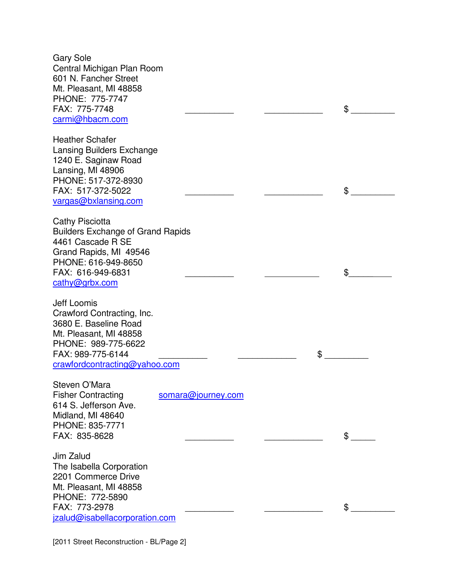Gary Sole Central Michigan Plan Room 601 N. Fancher Street Mt. Pleasant, MI 48858 PHONE: 775-7747 FAX: 775-7748  $\sim$ carmi@hbacm.com Heather Schafer Lansing Builders Exchange 1240 E. Saginaw Road Lansing, MI 48906 PHONE: 517-372-8930 FAX: 517-372-5022 \_\_\_\_\_\_\_\_\_\_ \_\_\_\_\_\_\_\_\_\_\_\_ \$ \_\_\_\_\_\_\_\_\_ vargas@bxlansing.com Cathy Pisciotta Builders Exchange of Grand Rapids 4461 Cascade R SE Grand Rapids, MI 49546 PHONE: 616-949-8650 FAX: 616-949-6831 \_\_\_\_\_\_\_\_\_\_ \$\_\_\_\_\_ cathy@grbx.com Jeff Loomis Crawford Contracting, Inc. 3680 E. Baseline Road Mt. Pleasant, MI 48858 PHONE: 989-775-6622 FAX: 989-775-6144  $\sim$ crawfordcontracting@yahoo.com Steven O'Mara Fisher Contracting somara@journey.com 614 S. Jefferson Ave. Midland, MI 48640 PHONE: 835-7771 FAX: 835-8628  $\sim$ Jim Zalud The Isabella Corporation 2201 Commerce Drive Mt. Pleasant, MI 48858 PHONE: 772-5890 FAX: 773-2978  $\sim$ jzalud@isabellacorporation.com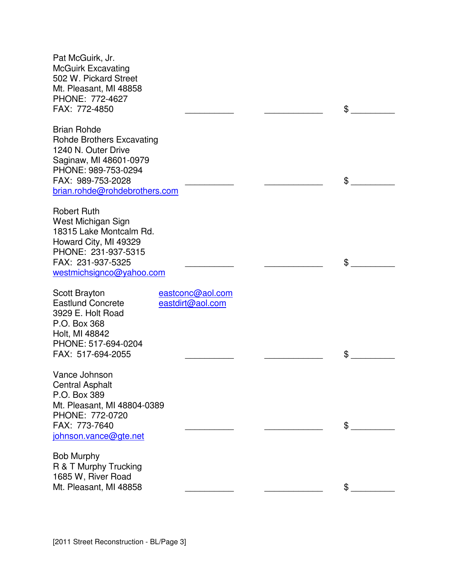| Pat McGuirk, Jr.<br><b>McGuirk Excavating</b><br>502 W. Pickard Street<br>Mt. Pleasant, MI 48858<br>PHONE: 772-4627<br>FAX: 772-4850                                                 |                                      | \$ |
|--------------------------------------------------------------------------------------------------------------------------------------------------------------------------------------|--------------------------------------|----|
| <b>Brian Rohde</b><br><b>Rohde Brothers Excavating</b><br>1240 N. Outer Drive<br>Saginaw, MI 48601-0979<br>PHONE: 989-753-0294<br>FAX: 989-753-2028<br>brian.rohde@rohdebrothers.com |                                      | \$ |
| <b>Robert Ruth</b><br>West Michigan Sign<br>18315 Lake Montcalm Rd.<br>Howard City, MI 49329<br>PHONE: 231-937-5315<br>FAX: 231-937-5325<br>westmichsignco@yahoo.com                 |                                      | \$ |
| Scott Brayton<br><b>Eastlund Concrete</b><br>3929 E. Holt Road<br>P.O. Box 368<br>Holt, MI 48842<br>PHONE: 517-694-0204<br>FAX: 517-694-2055                                         | eastconc@aol.com<br>eastdirt@aol.com | \$ |
| Vance Johnson<br><b>Central Asphalt</b><br>P.O. Box 389<br>Mt. Pleasant, MI 48804-0389<br>PHONE: 772-0720<br>FAX: 773-7640<br>johnson.vance@gte.net                                  |                                      | \$ |
| <b>Bob Murphy</b><br>R & T Murphy Trucking<br>1685 W, River Road<br>Mt. Pleasant, MI 48858                                                                                           |                                      | \$ |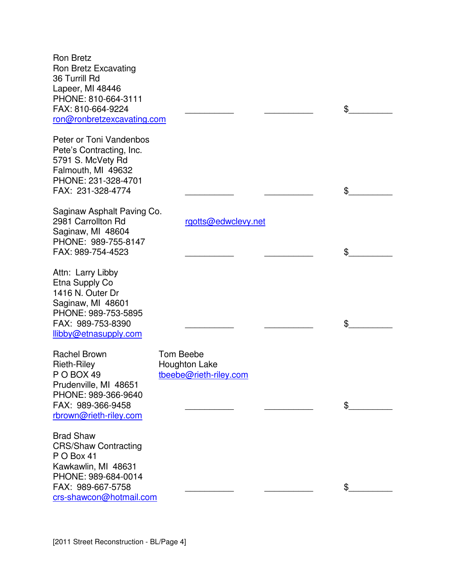| <b>Ron Bretz</b><br>Ron Bretz Excavating<br>36 Turrill Rd<br>Lapeer, MI 48446<br>PHONE: 810-664-3111<br>FAX: 810-664-9224<br>ron@ronbretzexcavating.com     |                                                                    | \$ |
|-------------------------------------------------------------------------------------------------------------------------------------------------------------|--------------------------------------------------------------------|----|
| Peter or Toni Vandenbos<br>Pete's Contracting, Inc.<br>5791 S. McVety Rd<br>Falmouth, MI 49632<br>PHONE: 231-328-4701<br>FAX: 231-328-4774                  |                                                                    | \$ |
| Saginaw Asphalt Paving Co.<br>2981 Carrollton Rd<br>Saginaw, MI 48604<br>PHONE: 989-755-8147<br>FAX: 989-754-4523                                           | rgotts@edwclevy.net                                                | \$ |
| Attn: Larry Libby<br>Etna Supply Co<br>1416 N. Outer Dr<br>Saginaw, MI 48601<br>PHONE: 989-753-5895<br>FAX: 989-753-8390<br>llibby@etnasupply.com           |                                                                    | \$ |
| <b>Rachel Brown</b><br><b>Rieth-Riley</b><br>P O BOX 49<br>Prudenville, MI 48651<br>PHONE: 989-366-9640<br>FAX: 989-366-9458<br>rbrown@rieth-riley.com      | <b>Tom Beebe</b><br><b>Houghton Lake</b><br>tbeebe@rieth-riley.com | \$ |
| <b>Brad Shaw</b><br><b>CRS/Shaw Contracting</b><br>P O Box 41<br>Kawkawlin, MI 48631<br>PHONE: 989-684-0014<br>FAX: 989-667-5758<br>crs-shawcon@hotmail.com |                                                                    | \$ |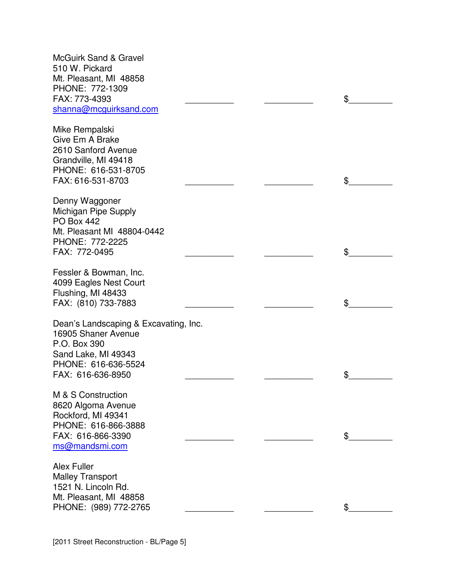| <b>McGuirk Sand &amp; Gravel</b><br>510 W. Pickard<br>Mt. Pleasant, MI 48858<br>PHONE: 772-1309<br>FAX: 773-4393<br>shanna@mcguirksand.com      |  | \$ |
|-------------------------------------------------------------------------------------------------------------------------------------------------|--|----|
| Mike Rempalski<br>Give Em A Brake<br>2610 Sanford Avenue<br>Grandville, MI 49418<br>PHONE: 616-531-8705<br>FAX: 616-531-8703                    |  | \$ |
| Denny Waggoner<br>Michigan Pipe Supply<br><b>PO Box 442</b><br>Mt. Pleasant MI 48804-0442<br>PHONE: 772-2225<br>FAX: 772-0495                   |  | \$ |
| Fessler & Bowman, Inc.<br>4099 Eagles Nest Court<br>Flushing, MI 48433<br>FAX: (810) 733-7883                                                   |  | \$ |
| Dean's Landscaping & Excavating, Inc.<br>16905 Shaner Avenue<br>P.O. Box 390<br>Sand Lake, MI 49343<br>PHONE: 616-636-5524<br>FAX: 616-636-8950 |  | \$ |
| M & S Construction<br>8620 Algoma Avenue<br>Rockford, MI 49341<br>PHONE: 616-866-3888<br>FAX: 616-866-3390<br>ms@mandsmi.com                    |  | \$ |
| <b>Alex Fuller</b><br><b>Malley Transport</b><br>1521 N. Lincoln Rd.<br>Mt. Pleasant, MI 48858<br>PHONE: (989) 772-2765                         |  | \$ |